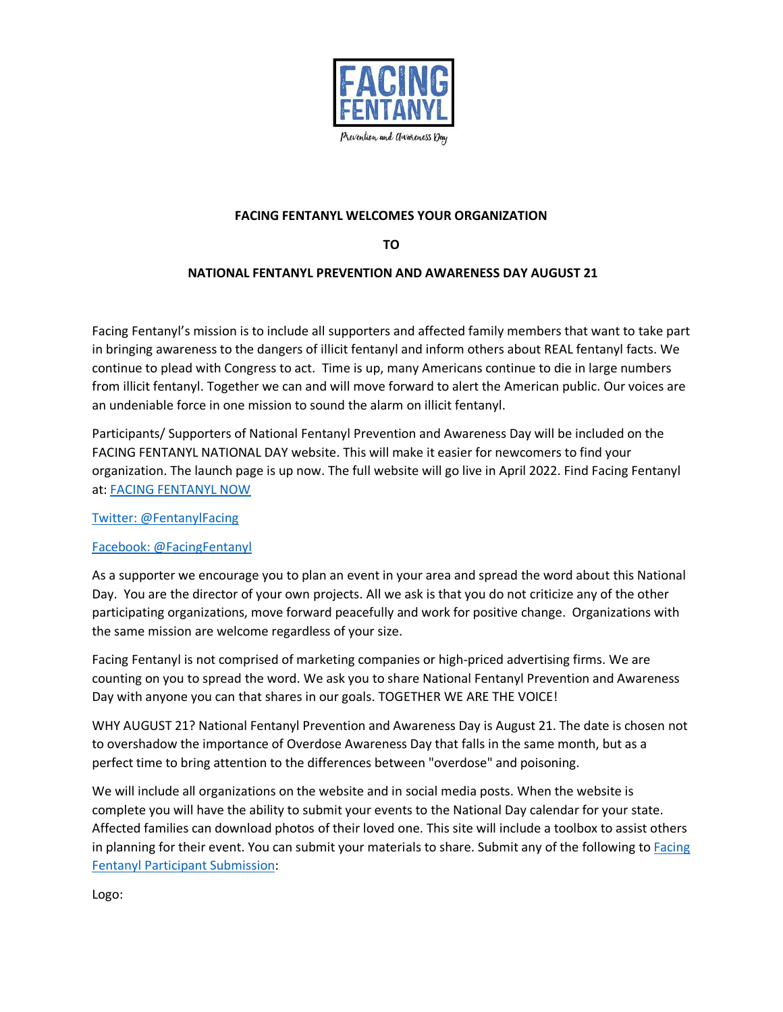

## **FACING FENTANYL WELCOMES YOUR ORGANIZATION**

**TO**

## **NATIONAL FENTANYL PREVENTION AND AWARENESS DAY AUGUST 21**

Facing Fentanyl's mission is to include all supporters and affected family members that want to take part in bringing awareness to the dangers of illicit fentanyl and inform others about REAL fentanyl facts. We continue to plead with Congress to act. Time is up, many Americans continue to die in large numbers from illicit fentanyl. Together we can and will move forward to alert the American public. Our voices are an undeniable force in one mission to sound the alarm on illicit fentanyl.

Participants/ Supporters of National Fentanyl Prevention and Awareness Day will be included on the FACING FENTANYL NATIONAL DAY website. This will make it easier for newcomers to find your organization. The launch page is up now. The full website will go live in April 2022. Find Facing Fentanyl at: [FACING FENTANYL NOW](mailto:https://facingfentanylnow.org/?subject=NATIONAL%20FENTANYL%20PREVENTION%20AND%20AWARENESS%20DAY%20AUGUST%2021)

[Twitter: @FentanylFacing](https://twitter.com/FentanylFacing)

## [Facebook: @FacingFentanyl](https://facingfentanylnow.org/)

As a supporter we encourage you to plan an event in your area and spread the word about this National Day. You are the director of your own projects. All we ask is that you do not criticize any of the other participating organizations, move forward peacefully and work for positive change. Organizations with the same mission are welcome regardless of your size.

Facing Fentanyl is not comprised of marketing companies or high-priced advertising firms. We are counting on you to spread the word. We ask you to share National Fentanyl Prevention and Awareness Day with anyone you can that shares in our goals. TOGETHER WE ARE THE VOICE!

WHY AUGUST 21? National Fentanyl Prevention and Awareness Day is August 21. The date is chosen not to overshadow the importance of Overdose Awareness Day that falls in the same month, but as a perfect time to bring attention to the differences between "overdose" and poisoning.

We will include all organizations on the website and in social media posts. When the website is complete you will have the ability to submit your events to the National Day calendar for your state. Affected families can download photos of their loved one. This site will include a toolbox to assist others in planning for their event. You can submit your materials to share. Submit any of the following to **Facing** [Fentanyl Participant](andrea@voicesforawareness.com) Submission:

Logo: